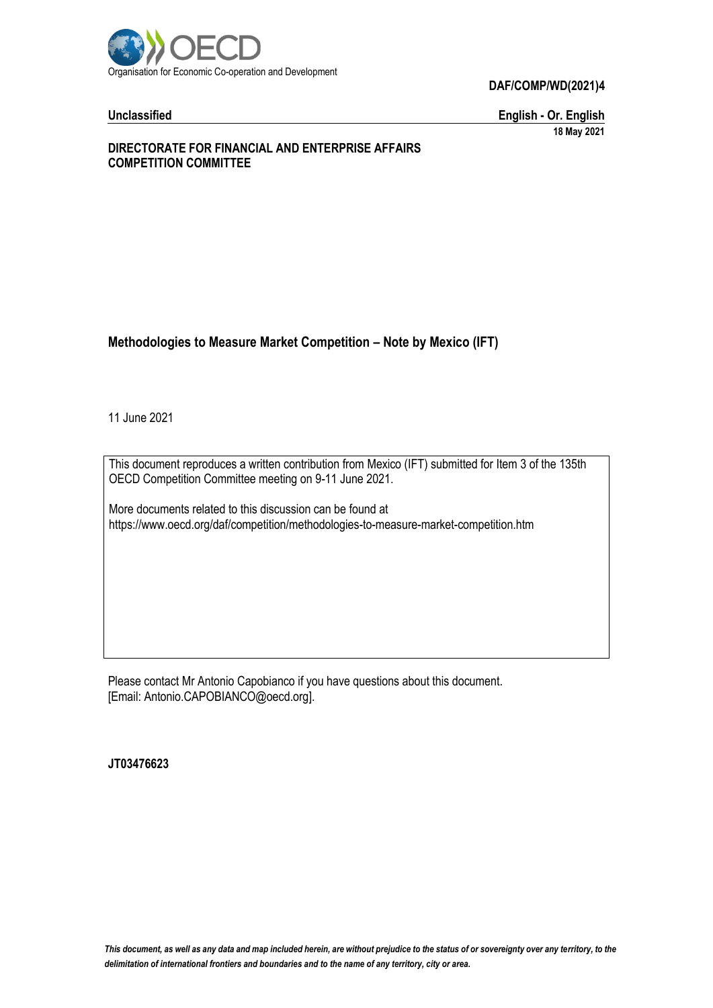

**DAF/COMP/WD(2021)4**

**Unclassified English - Or. English 18 May 2021**

#### **DIRECTORATE FOR FINANCIAL AND ENTERPRISE AFFAIRS COMPETITION COMMITTEE**

# **Methodologies to Measure Market Competition – Note by Mexico (IFT)**

11 June 2021

This document reproduces a written contribution from Mexico (IFT) submitted for Item 3 of the 135th OECD Competition Committee meeting on 9-11 June 2021.

More documents related to this discussion can be found at https://www.oecd.org/daf/competition/methodologies-to-measure-market-competition.htm

Please contact Mr Antonio Capobianco if you have questions about this document. [Email: Antonio.CAPOBIANCO@oecd.org].

**JT03476623**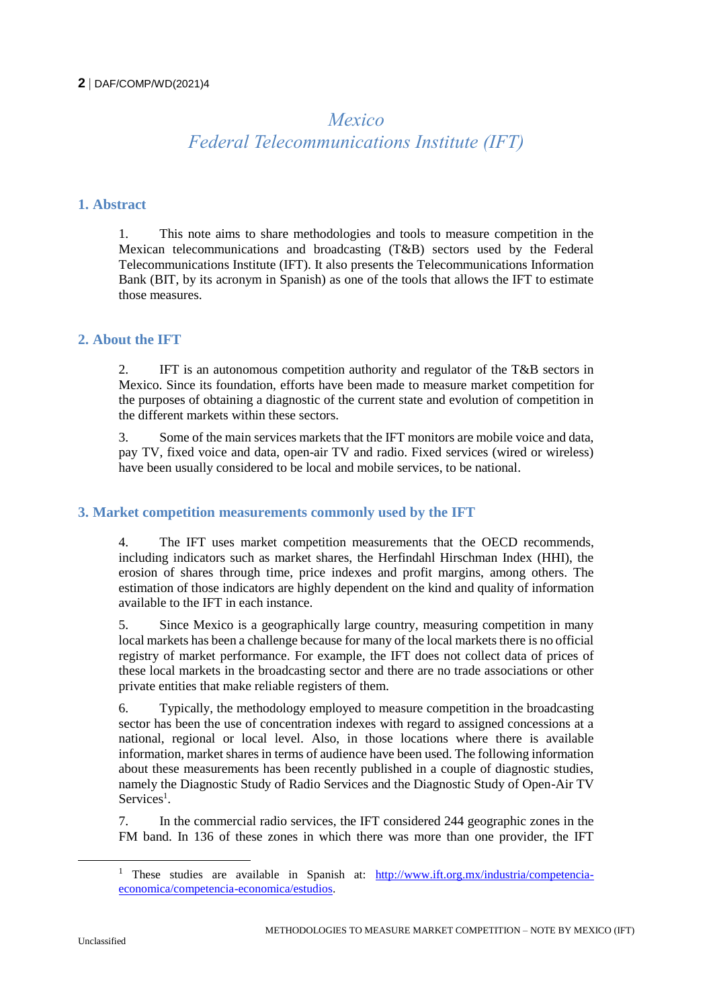# *Mexico Federal Telecommunications Institute (IFT)*

#### **1. Abstract**

1. This note aims to share methodologies and tools to measure competition in the Mexican telecommunications and broadcasting (T&B) sectors used by the Federal Telecommunications Institute (IFT). It also presents the Telecommunications Information Bank (BIT, by its acronym in Spanish) as one of the tools that allows the IFT to estimate those measures.

# **2. About the IFT**

2. IFT is an autonomous competition authority and regulator of the T&B sectors in Mexico. Since its foundation, efforts have been made to measure market competition for the purposes of obtaining a diagnostic of the current state and evolution of competition in the different markets within these sectors.

3. Some of the main services markets that the IFT monitors are mobile voice and data, pay TV, fixed voice and data, open-air TV and radio. Fixed services (wired or wireless) have been usually considered to be local and mobile services, to be national.

#### **3. Market competition measurements commonly used by the IFT**

4. The IFT uses market competition measurements that the OECD recommends, including indicators such as market shares, the Herfindahl Hirschman Index (HHI), the erosion of shares through time, price indexes and profit margins, among others. The estimation of those indicators are highly dependent on the kind and quality of information available to the IFT in each instance.

5. Since Mexico is a geographically large country, measuring competition in many local markets has been a challenge because for many of the local markets there is no official registry of market performance. For example, the IFT does not collect data of prices of these local markets in the broadcasting sector and there are no trade associations or other private entities that make reliable registers of them.

6. Typically, the methodology employed to measure competition in the broadcasting sector has been the use of concentration indexes with regard to assigned concessions at a national, regional or local level. Also, in those locations where there is available information, market shares in terms of audience have been used. The following information about these measurements has been recently published in a couple of diagnostic studies, namely the Diagnostic Study of Radio Services and the Diagnostic Study of Open-Air TV Services<sup>1</sup>.

7. In the commercial radio services, the IFT considered 244 geographic zones in the FM band. In 136 of these zones in which there was more than one provider, the IFT

<sup>&</sup>lt;sup>1</sup> These studies are available in Spanish at: [http://www.ift.org.mx/industria/competencia](http://www.ift.org.mx/industria/competencia-economica/competencia-economica/estudios)[economica/competencia-economica/estudios.](http://www.ift.org.mx/industria/competencia-economica/competencia-economica/estudios)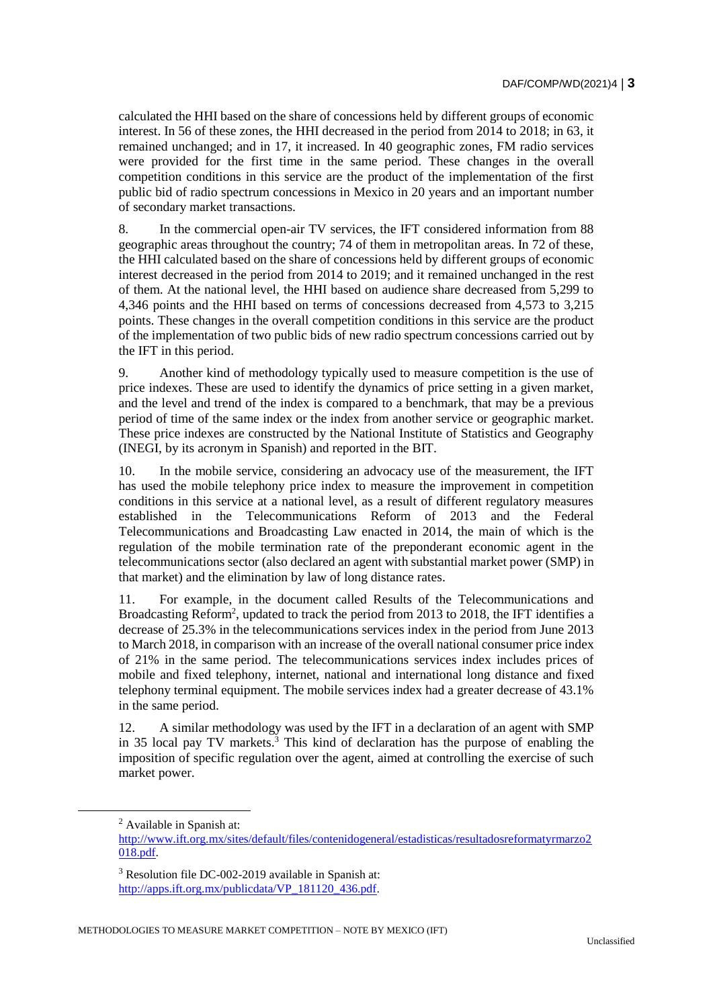calculated the HHI based on the share of concessions held by different groups of economic interest. In 56 of these zones, the HHI decreased in the period from 2014 to 2018; in 63, it remained unchanged; and in 17, it increased. In 40 geographic zones, FM radio services were provided for the first time in the same period. These changes in the overall competition conditions in this service are the product of the implementation of the first public bid of radio spectrum concessions in Mexico in 20 years and an important number of secondary market transactions.

8. In the commercial open-air TV services, the IFT considered information from 88 geographic areas throughout the country; 74 of them in metropolitan areas. In 72 of these, the HHI calculated based on the share of concessions held by different groups of economic interest decreased in the period from 2014 to 2019; and it remained unchanged in the rest of them. At the national level, the HHI based on audience share decreased from 5,299 to 4,346 points and the HHI based on terms of concessions decreased from 4,573 to 3,215 points. These changes in the overall competition conditions in this service are the product of the implementation of two public bids of new radio spectrum concessions carried out by the IFT in this period.

9. Another kind of methodology typically used to measure competition is the use of price indexes. These are used to identify the dynamics of price setting in a given market, and the level and trend of the index is compared to a benchmark, that may be a previous period of time of the same index or the index from another service or geographic market. These price indexes are constructed by the National Institute of Statistics and Geography (INEGI, by its acronym in Spanish) and reported in the BIT.

10. In the mobile service, considering an advocacy use of the measurement, the IFT has used the mobile telephony price index to measure the improvement in competition conditions in this service at a national level, as a result of different regulatory measures established in the Telecommunications Reform of 2013 and the Federal Telecommunications and Broadcasting Law enacted in 2014, the main of which is the regulation of the mobile termination rate of the preponderant economic agent in the telecommunications sector (also declared an agent with substantial market power (SMP) in that market) and the elimination by law of long distance rates.

11. For example, in the document called Results of the Telecommunications and Broadcasting Reform<sup>2</sup>, updated to track the period from 2013 to 2018, the IFT identifies a decrease of 25.3% in the telecommunications services index in the period from June 2013 to March 2018, in comparison with an increase of the overall national consumer price index of 21% in the same period. The telecommunications services index includes prices of mobile and fixed telephony, internet, national and international long distance and fixed telephony terminal equipment. The mobile services index had a greater decrease of 43.1% in the same period.

12. A similar methodology was used by the IFT in a declaration of an agent with SMP in 35 local pay TV markets.<sup>3</sup> This kind of declaration has the purpose of enabling the imposition of specific regulation over the agent, aimed at controlling the exercise of such market power.

<sup>2</sup> Available in Spanish at:

[http://www.ift.org.mx/sites/default/files/contenidogeneral/estadisticas/resultadosreformatyrmarzo2](http://www.ift.org.mx/sites/default/files/contenidogeneral/estadisticas/resultadosreformatyrmarzo2018.pdf) [018.pdf.](http://www.ift.org.mx/sites/default/files/contenidogeneral/estadisticas/resultadosreformatyrmarzo2018.pdf)

<sup>3</sup> Resolution file DC-002-2019 available in Spanish at: [http://apps.ift.org.mx/publicdata/VP\\_181120\\_436.pdf.](http://apps.ift.org.mx/publicdata/VP_181120_436.pdf)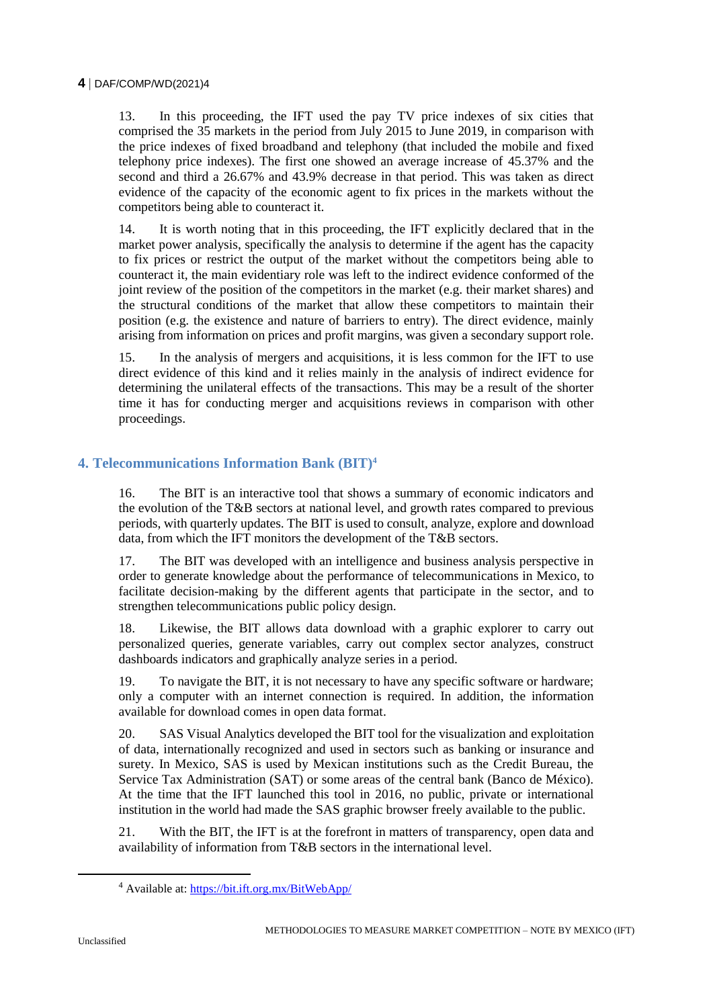#### **4** DAF/COMP/WD(2021)4

13. In this proceeding, the IFT used the pay TV price indexes of six cities that comprised the 35 markets in the period from July 2015 to June 2019, in comparison with the price indexes of fixed broadband and telephony (that included the mobile and fixed telephony price indexes). The first one showed an average increase of 45.37% and the second and third a 26.67% and 43.9% decrease in that period. This was taken as direct evidence of the capacity of the economic agent to fix prices in the markets without the competitors being able to counteract it.

14. It is worth noting that in this proceeding, the IFT explicitly declared that in the market power analysis, specifically the analysis to determine if the agent has the capacity to fix prices or restrict the output of the market without the competitors being able to counteract it, the main evidentiary role was left to the indirect evidence conformed of the joint review of the position of the competitors in the market (e.g. their market shares) and the structural conditions of the market that allow these competitors to maintain their position (e.g. the existence and nature of barriers to entry). The direct evidence, mainly arising from information on prices and profit margins, was given a secondary support role.

15. In the analysis of mergers and acquisitions, it is less common for the IFT to use direct evidence of this kind and it relies mainly in the analysis of indirect evidence for determining the unilateral effects of the transactions. This may be a result of the shorter time it has for conducting merger and acquisitions reviews in comparison with other proceedings.

## **4. Telecommunications Information Bank (BIT)<sup>4</sup>**

16. The BIT is an interactive tool that shows a summary of economic indicators and the evolution of the T&B sectors at national level, and growth rates compared to previous periods, with quarterly updates. The BIT is used to consult, analyze, explore and download data, from which the IFT monitors the development of the T&B sectors.

17. The BIT was developed with an intelligence and business analysis perspective in order to generate knowledge about the performance of telecommunications in Mexico, to facilitate decision-making by the different agents that participate in the sector, and to strengthen telecommunications public policy design.

18. Likewise, the BIT allows data download with a graphic explorer to carry out personalized queries, generate variables, carry out complex sector analyzes, construct dashboards indicators and graphically analyze series in a period.

19. To navigate the BIT, it is not necessary to have any specific software or hardware; only a computer with an internet connection is required. In addition, the information available for download comes in open data format.

20. SAS Visual Analytics developed the BIT tool for the visualization and exploitation of data, internationally recognized and used in sectors such as banking or insurance and surety. In Mexico, SAS is used by Mexican institutions such as the Credit Bureau, the Service Tax Administration (SAT) or some areas of the central bank (Banco de México). At the time that the IFT launched this tool in 2016, no public, private or international institution in the world had made the SAS graphic browser freely available to the public.

21. With the BIT, the IFT is at the forefront in matters of transparency, open data and availability of information from T&B sectors in the international level.

<sup>4</sup> Available at:<https://bit.ift.org.mx/BitWebApp/>